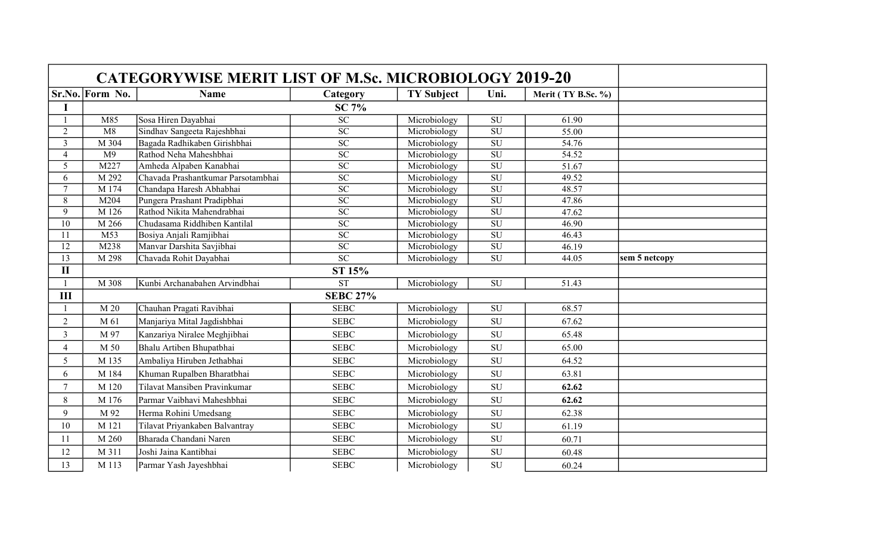|                 |                 | <b>CATEGORYWISE MERIT LIST OF M.Sc. MICROBIOLOGY 2019-20</b> |                          |                   |                          |                    |               |
|-----------------|-----------------|--------------------------------------------------------------|--------------------------|-------------------|--------------------------|--------------------|---------------|
|                 | Sr.No. Form No. | <b>Name</b>                                                  | Category                 | <b>TY Subject</b> | Uni.                     | Merit (TY B.Sc. %) |               |
| I               |                 |                                                              | <b>SC 7%</b>             |                   |                          |                    |               |
|                 | M85             | Sosa Hiren Dayabhai                                          | $\overline{SC}$          | Microbiology      | <b>SU</b>                | 61.90              |               |
| $\overline{2}$  | M8              | Sindhav Sangeeta Rajeshbhai                                  | SC                       | Microbiology      | SU                       | 55.00              |               |
| $\overline{3}$  | M 304           | Bagada Radhikaben Girishbhai                                 | $\overline{SC}$          | Microbiology      | $\overline{\rm SU}$      | 54.76              |               |
| $\overline{4}$  | M <sub>9</sub>  | Rathod Neha Maheshbhai                                       | $\overline{SC}$          | Microbiology      | SU                       | 54.52              |               |
| 5               | M227            | Amheda Alpaben Kanabhai                                      | $\overline{SC}$          | Microbiology      | SU                       | 51.67              |               |
| 6               | M 292           | Chavada Prashantkumar Parsotambhai                           | $\overline{SC}$          | Microbiology      | $\overline{SU}$          | 49.52              |               |
| $\overline{7}$  | M 174           | Chandapa Haresh Abhabhai                                     | $\overline{SC}$          | Microbiology      | SU                       | 48.57              |               |
| $\overline{8}$  | M204            | Pungera Prashant Pradipbhai                                  | $\overline{SC}$          | Microbiology      | $\overline{\rm SU}$      | 47.86              |               |
| 9               | M 126           | Rathod Nikita Mahendrabhai                                   | $\overline{SC}$          | Microbiology      | SU                       | 47.62              |               |
| $\overline{10}$ | M 266           | Chudasama Riddhiben Kantilal                                 | $\overline{SC}$          | Microbiology      | $\overline{\rm SU}$      | 46.90              |               |
| 11              | M53             | Bosiya Anjali Ramjibhai                                      | $\overline{SC}$          | Microbiology      | SU                       | 46.43              |               |
| $\overline{12}$ | M238            | Manvar Darshita Savjibhai                                    | $\overline{SC}$          | Microbiology      | $\overline{\mathrm{SU}}$ | 46.19              |               |
| 13              | M 298           | Chavada Rohit Dayabhai                                       | $\overline{SC}$          | Microbiology      | $\overline{\mathrm{SU}}$ | 44.05              | sem 5 netcopy |
| $\mathbf{I}$    |                 |                                                              |                          |                   |                          |                    |               |
|                 | M 308           | Kunbi Archanabahen Arvindbhai                                | <b>ST</b>                | Microbiology      | <b>SU</b>                | 51.43              |               |
| III             |                 |                                                              | <b>SEBC 27%</b>          |                   |                          |                    |               |
|                 | M <sub>20</sub> | Chauhan Pragati Ravibhai                                     | $\overline{\text{SEBC}}$ | Microbiology      | SU                       | 68.57              |               |
| $\mathbf{2}$    | M 61            | Manjariya Mital Jagdishbhai                                  | <b>SEBC</b>              | Microbiology      | SU                       | 67.62              |               |
| $\overline{3}$  | M 97            | Kanzariya Niralee Meghjibhai                                 | <b>SEBC</b>              | Microbiology      | SU                       | 65.48              |               |
| $\overline{4}$  | M 50            | Bhalu Artiben Bhupatbhai                                     | <b>SEBC</b>              | Microbiology      | <b>SU</b>                | 65.00              |               |
| 5               | M 135           | Ambaliya Hiruben Jethabhai                                   | <b>SEBC</b>              | Microbiology      | ${\bf SU}$               | 64.52              |               |
| 6               | M 184           | Khuman Rupalben Bharatbhai                                   | <b>SEBC</b>              | Microbiology      | <b>SU</b>                | 63.81              |               |
| $\tau$          | M 120           | Tilavat Mansiben Pravinkumar                                 | <b>SEBC</b>              | Microbiology      | <b>SU</b>                | 62.62              |               |
| $8\,$           | M 176           | Parmar Vaibhavi Maheshbhai                                   | <b>SEBC</b>              | Microbiology      | <b>SU</b>                | 62.62              |               |
| 9               | M 92            | Herma Rohini Umedsang                                        | <b>SEBC</b>              | Microbiology      | SU                       | 62.38              |               |
| 10              | M 121           | Tilavat Priyankaben Balvantray                               | <b>SEBC</b>              | Microbiology      | SU                       | 61.19              |               |
| 11              | M 260           | Bharada Chandani Naren                                       | <b>SEBC</b>              | Microbiology      | SU                       | 60.71              |               |
| 12              | M 311           | Joshi Jaina Kantibhai                                        | <b>SEBC</b>              | Microbiology      | SU                       | 60.48              |               |
| 13              | M 113           | Parmar Yash Jayeshbhai                                       | <b>SEBC</b>              | Microbiology      | <b>SU</b>                | 60.24              |               |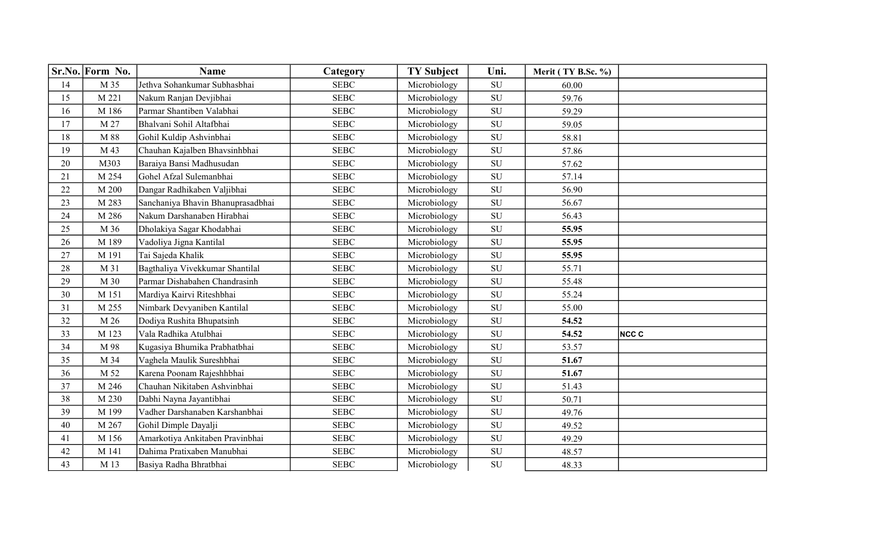|        | Sr.No. Form No. | <b>Name</b>                       | Category    | <b>TY Subject</b> | Uni.       | Merit (TY B.Sc. %) |                  |
|--------|-----------------|-----------------------------------|-------------|-------------------|------------|--------------------|------------------|
| 14     | M 35            | Jethva Sohankumar Subhasbhai      | <b>SEBC</b> | Microbiology      | SU         | 60.00              |                  |
| 15     | M 221           | Nakum Ranjan Devjibhai            | <b>SEBC</b> | Microbiology      | SU         | 59.76              |                  |
| 16     | M 186           | Parmar Shantiben Valabhai         | <b>SEBC</b> | Microbiology      | SU         | 59.29              |                  |
| 17     | M 27            | Bhalvani Sohil Altafbhai          | <b>SEBC</b> | Microbiology      | SU         | 59.05              |                  |
| 18     | M 88            | Gohil Kuldip Ashvinbhai           | <b>SEBC</b> | Microbiology      | SU         | 58.81              |                  |
| 19     | M 43            | Chauhan Kajalben Bhavsinhbhai     | <b>SEBC</b> | Microbiology      | SU         | 57.86              |                  |
| 20     | M303            | Baraiya Bansi Madhusudan          | <b>SEBC</b> | Microbiology      | SU         | 57.62              |                  |
| 21     | M 254           | Gohel Afzal Sulemanbhai           | <b>SEBC</b> | Microbiology      | SU         | 57.14              |                  |
| 22     | M 200           | Dangar Radhikaben Valjibhai       | <b>SEBC</b> | Microbiology      | SU         | 56.90              |                  |
| 23     | M 283           | Sanchaniya Bhavin Bhanuprasadbhai | <b>SEBC</b> | Microbiology      | SU         | 56.67              |                  |
| 24     | M 286           | Nakum Darshanaben Hirabhai        | <b>SEBC</b> | Microbiology      | SU         | 56.43              |                  |
| 25     | M 36            | Dholakiya Sagar Khodabhai         | <b>SEBC</b> | Microbiology      | SU         | 55.95              |                  |
| 26     | M 189           | Vadoliya Jigna Kantilal           | <b>SEBC</b> | Microbiology      | <b>SU</b>  | 55.95              |                  |
| 27     | M 191           | Tai Sajeda Khalik                 | <b>SEBC</b> | Microbiology      | SU         | 55.95              |                  |
| 28     | M 31            | Bagthaliya Vivekkumar Shantilal   | <b>SEBC</b> | Microbiology      | SU         | 55.71              |                  |
| 29     | M 30            | Parmar Dishabahen Chandrasinh     | <b>SEBC</b> | Microbiology      | SU         | 55.48              |                  |
| $30\,$ | M 151           | Mardiya Kairvi Riteshbhai         | <b>SEBC</b> | Microbiology      | SU         | 55.24              |                  |
| 31     | M 255           | Nimbark Devyaniben Kantilal       | <b>SEBC</b> | Microbiology      | SU         | 55.00              |                  |
| 32     | M 26            | Dodiya Rushita Bhupatsinh         | <b>SEBC</b> | Microbiology      | SU         | 54.52              |                  |
| 33     | M 123           | Vala Radhika Atulbhai             | <b>SEBC</b> | Microbiology      | SU         | 54.52              | NCC <sub>C</sub> |
| 34     | M 98            | Kugasiya Bhumika Prabhatbhai      | <b>SEBC</b> | Microbiology      | SU         | 53.57              |                  |
| 35     | M 34            | Vaghela Maulik Sureshbhai         | <b>SEBC</b> | Microbiology      | SU         | 51.67              |                  |
| 36     | M 52            | Karena Poonam Rajeshhbhai         | <b>SEBC</b> | Microbiology      | <b>SU</b>  | 51.67              |                  |
| 37     | M 246           | Chauhan Nikitaben Ashvinbhai      | <b>SEBC</b> | Microbiology      | SU         | 51.43              |                  |
| 38     | M 230           | Dabhi Nayna Jayantibhai           | <b>SEBC</b> | Microbiology      | SU         | 50.71              |                  |
| 39     | M 199           | Vadher Darshanaben Karshanbhai    | <b>SEBC</b> | Microbiology      | SU         | 49.76              |                  |
| 40     | M 267           | Gohil Dimple Dayalji              | <b>SEBC</b> | Microbiology      | ${\rm SU}$ | 49.52              |                  |
| 41     | M 156           | Amarkotiya Ankitaben Pravinbhai   | <b>SEBC</b> | Microbiology      | SU         | 49.29              |                  |
| 42     | M 141           | Dahima Pratixaben Manubhai        | <b>SEBC</b> | Microbiology      | SU         | 48.57              |                  |
| 43     | M 13            | Basiya Radha Bhratbhai            | <b>SEBC</b> | Microbiology      | SU         | 48.33              |                  |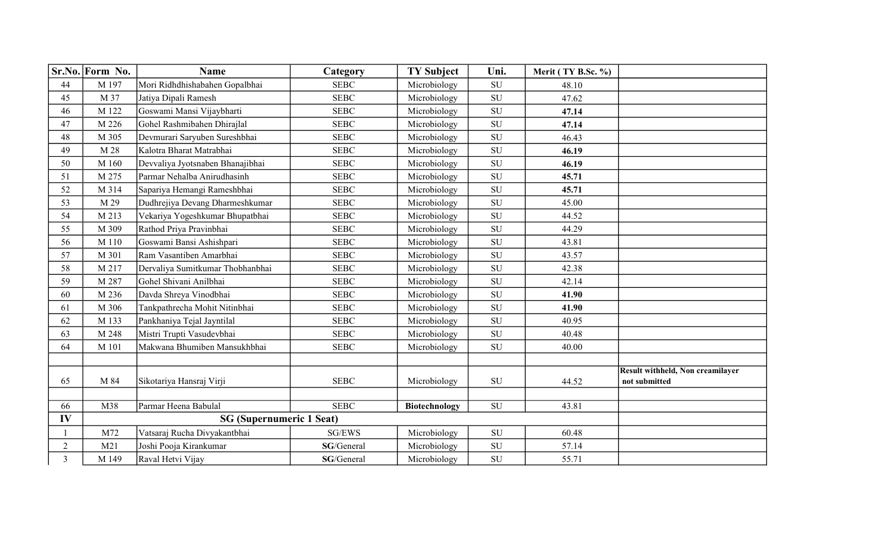|                | Sr.No. Form No. | <b>Name</b>                      | Category                | <b>TY Subject</b>    | Uni.       | Merit (TY B.Sc. %) |                                                          |
|----------------|-----------------|----------------------------------|-------------------------|----------------------|------------|--------------------|----------------------------------------------------------|
| $44$           | M 197           | Mori Ridhdhishabahen Gopalbhai   | <b>SEBC</b>             | Microbiology         | SU         | 48.10              |                                                          |
| 45             | M 37            | Jatiya Dipali Ramesh             | <b>SEBC</b>             | Microbiology         | SU         | 47.62              |                                                          |
| 46             | M 122           | Goswami Mansi Vijaybharti        | <b>SEBC</b>             | Microbiology         | SU         | 47.14              |                                                          |
| 47             | M 226           | Gohel Rashmibahen Dhirajlal      | <b>SEBC</b>             | Microbiology         | SU         | 47.14              |                                                          |
| 48             | M 305           | Devmurari Saryuben Sureshbhai    | <b>SEBC</b>             | Microbiology         | SU         | 46.43              |                                                          |
| 49             | M 28            | Kalotra Bharat Matrabhai         | <b>SEBC</b>             | Microbiology         | SU         | 46.19              |                                                          |
| 50             | M 160           | Devvaliya Jyotsnaben Bhanajibhai | <b>SEBC</b>             | Microbiology         | <b>SU</b>  | 46.19              |                                                          |
| 51             | M 275           | Parmar Nehalba Anirudhasinh      | <b>SEBC</b>             | Microbiology         | SU         | 45.71              |                                                          |
| 52             | M 314           | Sapariya Hemangi Rameshbhai      | <b>SEBC</b>             | Microbiology         | SU         | 45.71              |                                                          |
| 53             | M 29            | Dudhrejiya Devang Dharmeshkumar  | <b>SEBC</b>             | Microbiology         | SU         | 45.00              |                                                          |
| 54             | M 213           | Vekariya Yogeshkumar Bhupatbhai  | <b>SEBC</b>             | Microbiology         | SU         | 44.52              |                                                          |
| 55             | M 309           | Rathod Priya Pravinbhai          | <b>SEBC</b>             | Microbiology         | SU         | 44.29              |                                                          |
| 56             | M 110           | Goswami Bansi Ashishpari         | <b>SEBC</b>             | Microbiology         | SU         | 43.81              |                                                          |
| 57             | M 301           | Ram Vasantiben Amarbhai          | <b>SEBC</b>             | Microbiology         | SU         | 43.57              |                                                          |
| 58             | M 217           | Dervaliya Sumitkumar Thobhanbhai | <b>SEBC</b>             | Microbiology         | SU         | 42.38              |                                                          |
| 59             | M 287           | Gohel Shivani Anilbhai           | <b>SEBC</b>             | Microbiology         | SU         | 42.14              |                                                          |
| 60             | M 236           | Davda Shreya Vinodbhai           | <b>SEBC</b>             | Microbiology         | SU         | 41.90              |                                                          |
| 61             | M 306           | Tankpathrecha Mohit Nitinbhai    | <b>SEBC</b>             | Microbiology         | SU         | 41.90              |                                                          |
| 62             | M 133           | Pankhaniya Tejal Jayntilal       | <b>SEBC</b>             | Microbiology         | SU         | 40.95              |                                                          |
| 63             | M 248           | Mistri Trupti Vasudevbhai        | <b>SEBC</b>             | Microbiology         | ${\rm SU}$ | 40.48              |                                                          |
| 64             | M 101           | Makwana Bhumiben Mansukhbhai     | <b>SEBC</b>             | Microbiology         | <b>SU</b>  | 40.00              |                                                          |
|                |                 |                                  |                         |                      |            |                    |                                                          |
| 65             | M 84            | Sikotariya Hansraj Virji         | <b>SEBC</b>             | Microbiology         | <b>SU</b>  | 44.52              | <b>Result withheld, Non creamilayer</b><br>not submitted |
| 66             | M38             | Parmar Heena Babulal             | <b>SEBC</b>             | <b>Biotechnology</b> | SU         | 43.81              |                                                          |
| IV             |                 | <b>SG (Supernumeric 1 Seat)</b>  |                         |                      |            |                    |                                                          |
| $\mathbf{1}$   | M72             | Vatsaraj Rucha Divyakantbhai     | $\operatorname{SG/EWS}$ | Microbiology         | SU         | 60.48              |                                                          |
| $\overline{c}$ | M21             | Joshi Pooja Kirankumar           | SG/General              | Microbiology         | ${\rm SU}$ | 57.14              |                                                          |
| $\overline{3}$ | M 149           | Raval Hetvi Vijay                | SG/General              | Microbiology         | SU         | 55.71              |                                                          |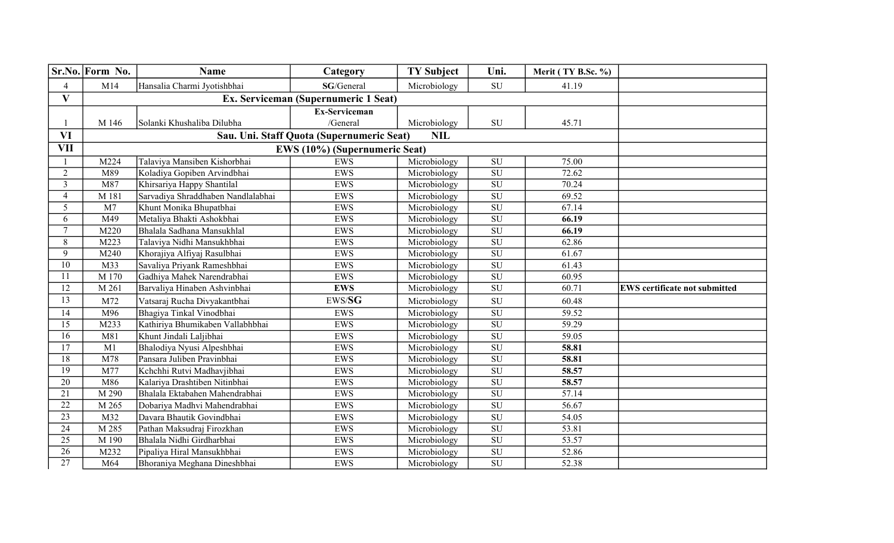|                 | Sr.No. Form No. | <b>Name</b>                        | Category                                  | <b>TY Subject</b> | Uni.                     | Merit (TY B.Sc. %) |                                      |
|-----------------|-----------------|------------------------------------|-------------------------------------------|-------------------|--------------------------|--------------------|--------------------------------------|
| 4               | M14             | Hansalia Charmi Jyotishbhai        | SG/General                                | Microbiology      | ${\rm SU}$               | 41.19              |                                      |
| $\mathbf{V}$    |                 |                                    | Ex. Serviceman (Supernumeric 1 Seat)      |                   |                          |                    |                                      |
|                 |                 |                                    | <b>Ex-Serviceman</b>                      |                   |                          |                    |                                      |
|                 | M 146           | Solanki Khushaliba Dilubha         | /General                                  | Microbiology      | ${\rm SU}$               | 45.71              |                                      |
| <b>VI</b>       |                 |                                    | Sau. Uni. Staff Quota (Supernumeric Seat) | <b>NIL</b>        |                          |                    |                                      |
| <b>VII</b>      |                 | EWS (10%) (Supernumeric Seat)      |                                           |                   |                          |                    |                                      |
|                 | M224            | Talaviya Mansiben Kishorbhai       | <b>EWS</b>                                | Microbiology      | ${\rm SU}$               | 75.00              |                                      |
| $\overline{2}$  | M89             | Koladiya Gopiben Arvindbhai        | <b>EWS</b>                                | Microbiology      | ${\rm SU}$               | 72.62              |                                      |
| $\overline{3}$  | M87             | Khirsariya Happy Shantilal         | <b>EWS</b>                                | Microbiology      | SU                       | 70.24              |                                      |
| $\overline{4}$  | M 181           | Sarvadiya Shraddhaben Nandlalabhai | <b>EWS</b>                                | Microbiology      | $\overline{\mathrm{SU}}$ | 69.52              |                                      |
| 5               | M <sub>7</sub>  | Khunt Monika Bhupatbhai            | <b>EWS</b>                                | Microbiology      | SU                       | 67.14              |                                      |
| 6               | M49             | Metaliya Bhakti Ashokbhai          | <b>EWS</b>                                | Microbiology      | $\overline{\mathrm{SU}}$ | 66.19              |                                      |
| $\overline{7}$  | M220            | Bhalala Sadhana Mansukhlal         | <b>EWS</b>                                | Microbiology      | $\overline{\mathrm{SU}}$ | 66.19              |                                      |
| 8               | M223            | Talaviya Nidhi Mansukhbhai         | EWS                                       | Microbiology      | SU                       | 62.86              |                                      |
| 9               | M240            | Khorajiya Alfiyaj Rasulbhai        | <b>EWS</b>                                | Microbiology      | ${\bf SU}$               | 61.67              |                                      |
| 10              | M33             | Savaliya Priyank Rameshbhai        | <b>EWS</b>                                | Microbiology      | SU                       | 61.43              |                                      |
| 11              | M 170           | Gadhiya Mahek Narendrabhai         | EWS                                       | Microbiology      | SU                       | 60.95              |                                      |
| 12              | M 261           | Barvaliya Hinaben Ashvinbhai       | <b>EWS</b>                                | Microbiology      | SU                       | 60.71              | <b>EWS</b> certificate not submitted |
| 13              | M72             | Vatsaraj Rucha Divyakantbhai       | $\textit{EWS}/\textbf{SG}$                | Microbiology      | ${\rm SU}$               | 60.48              |                                      |
| 14              | M96             | Bhagiya Tinkal Vinodbhai           | <b>EWS</b>                                | Microbiology      | $\overline{\mathrm{SU}}$ | 59.52              |                                      |
| 15              | M233            | Kathiriya Bhumikaben Vallabhbhai   | <b>EWS</b>                                | Microbiology      | ${\rm SU}$               | 59.29              |                                      |
| 16              | M81             | Khunt Jindali Laljibhai            | EWS                                       | Microbiology      | $\overline{\mathrm{SU}}$ | 59.05              |                                      |
| $\overline{17}$ | M1              | Bhalodiya Nyusi Alpeshbhai         | <b>EWS</b>                                | Microbiology      | $\overline{\mathrm{SU}}$ | 58.81              |                                      |
| 18              | M78             | Pansara Juliben Pravinbhai         | <b>EWS</b>                                | Microbiology      | ${\rm SU}$               | 58.81              |                                      |
| $\overline{19}$ | M77             | Kchchhi Rutvi Madhavjibhai         | <b>EWS</b>                                | Microbiology      | $\overline{\mathrm{SU}}$ | 58.57              |                                      |
| 20              | M86             | Kalariya Drashtiben Nitinbhai      | EWS                                       | Microbiology      | $\overline{\mathrm{SU}}$ | 58.57              |                                      |
| 21              | M 290           | Bhalala Ektabahen Mahendrabhai     | <b>EWS</b>                                | Microbiology      | $\overline{\mathrm{SU}}$ | 57.14              |                                      |
| $\overline{22}$ | M 265           | Dobariya Madhvi Mahendrabhai       | <b>EWS</b>                                | Microbiology      | SU                       | 56.67              |                                      |
| 23              | M32             | Davara Bhautik Govindbhai          | EWS                                       | Microbiology      | SU                       | 54.05              |                                      |
| 24              | M 285           | Pathan Maksudraj Firozkhan         | EWS                                       | Microbiology      | $\overline{\mathrm{SU}}$ | 53.81              |                                      |
| $\overline{25}$ | M 190           | Bhalala Nidhi Girdharbhai          | <b>EWS</b>                                | Microbiology      | ${\rm SU}$               | 53.57              |                                      |
| 26              | M232            | Pipaliya Hiral Mansukhbhai         | <b>EWS</b>                                | Microbiology      | ${\rm SU}$               | 52.86              |                                      |
| $\overline{27}$ | M64             | Bhoraniya Meghana Dineshbhai       | <b>EWS</b>                                | Microbiology      | $\overline{\mathrm{SU}}$ | 52.38              |                                      |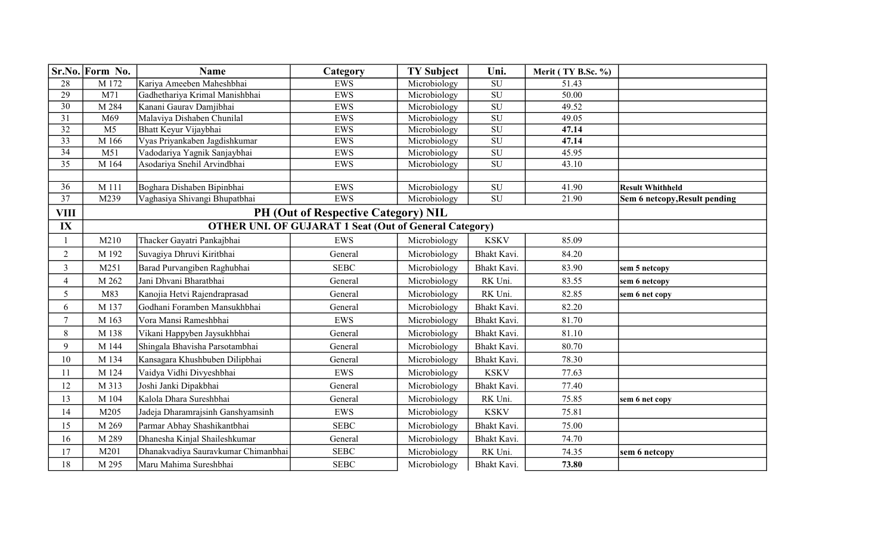|                 | Sr.No. Form No. | <b>Name</b>                         | Category                                                      | <b>TY Subject</b> | Uni.                     | Merit (TY B.Sc. %) |                               |
|-----------------|-----------------|-------------------------------------|---------------------------------------------------------------|-------------------|--------------------------|--------------------|-------------------------------|
| 28              | M 172           | Kariya Ameeben Maheshbhai           | <b>EWS</b>                                                    | Microbiology      | SU                       | 51.43              |                               |
| 29              | M71             | Gadhethariya Krimal Manishbhai      | <b>EWS</b>                                                    | Microbiology      | SU                       | 50.00              |                               |
| $\overline{30}$ | M 284           | Kanani Gaurav Damjibhai             | <b>EWS</b>                                                    | Microbiology      | $\overline{\mathrm{SU}}$ | 49.52              |                               |
| 31              | M69             | Malaviya Dishaben Chunilal          | <b>EWS</b>                                                    | Microbiology      | $\overline{\mathrm{SU}}$ | 49.05              |                               |
| $\overline{32}$ | M <sub>5</sub>  | Bhatt Keyur Vijaybhai               | EWS                                                           | Microbiology      | SU                       | 47.14              |                               |
| $\overline{33}$ | M 166           | Vyas Priyankaben Jagdishkumar       | EWS                                                           | Microbiology      | SU                       | 47.14              |                               |
| 34              | M51             | Vadodariya Yagnik Sanjaybhai        | EWS                                                           | Microbiology      | $\overline{\mathrm{SU}}$ | 45.95              |                               |
| $\overline{35}$ | M 164           | Asodariya Snehil Arvindbhai         | EWS                                                           | Microbiology      | $\overline{\mathrm{SU}}$ | 43.10              |                               |
|                 |                 |                                     |                                                               |                   |                          |                    |                               |
| $\overline{36}$ | M 111           | Boghara Dishaben Bipinbhai          | <b>EWS</b>                                                    | Microbiology      | SU                       | 41.90              | <b>Result Whithheld</b>       |
| 37              | M239            | Vaghasiya Shivangi Bhupatbhai       | EWS                                                           | Microbiology      | $\overline{\mathrm{SU}}$ | 21.90              | Sem 6 netcopy, Result pending |
| <b>VIII</b>     |                 |                                     | PH (Out of Respective Category) NIL                           |                   |                          |                    |                               |
| IX              |                 |                                     | <b>OTHER UNI. OF GUJARAT 1 Seat (Out of General Category)</b> |                   |                          |                    |                               |
| 1               | M210            | Thacker Gayatri Pankajbhai          | <b>EWS</b>                                                    | Microbiology      | <b>KSKV</b>              | 85.09              |                               |
| $\overline{2}$  | M 192           | Suvagiya Dhruvi Kiritbhai           | General                                                       | Microbiology      | Bhakt Kavi.              | 84.20              |                               |
| $\overline{3}$  | M251            | Barad Purvangiben Raghubhai         | <b>SEBC</b>                                                   | Microbiology      | Bhakt Kavi.              | 83.90              | sem 5 netcopy                 |
| $\overline{4}$  | M 262           | Jani Dhvani Bharatbhai              | General                                                       | Microbiology      | RK Uni.                  | 83.55              | sem 6 netcopy                 |
| 5               | M83             | Kanojia Hetvi Rajendraprasad        | General                                                       | Microbiology      | RK Uni.                  | 82.85              | sem 6 net copy                |
| 6               | M 137           | Godhani Foramben Mansukhbhai        | General                                                       | Microbiology      | Bhakt Kavi.              | 82.20              |                               |
| $7\phantom{.0}$ | M 163           | Vora Mansi Rameshbhai               | EWS                                                           | Microbiology      | Bhakt Kavi.              | 81.70              |                               |
| $8\,$           | M 138           | Vikani Happyben Jaysukhbhai         | General                                                       | Microbiology      | Bhakt Kavi.              | 81.10              |                               |
| 9               | M 144           | Shingala Bhavisha Parsotambhai      | General                                                       | Microbiology      | Bhakt Kavi.              | 80.70              |                               |
| 10              | M 134           | Kansagara Khushbuben Dilipbhai      | General                                                       | Microbiology      | Bhakt Kavi.              | 78.30              |                               |
| 11              | M 124           | Vaidya Vidhi Divyeshbhai            | EWS                                                           | Microbiology      | <b>KSKV</b>              | 77.63              |                               |
| 12              | M 313           | Joshi Janki Dipakbhai               | General                                                       | Microbiology      | Bhakt Kavi.              | 77.40              |                               |
| 13              | M 104           | Kalola Dhara Sureshbhai             | General                                                       | Microbiology      | RK Uni.                  | 75.85              | sem 6 net copy                |
| 14              | M205            | Jadeja Dharamrajsinh Ganshyamsinh   | EWS                                                           | Microbiology      | <b>KSKV</b>              | 75.81              |                               |
| 15              | M 269           | Parmar Abhay Shashikantbhai         | <b>SEBC</b>                                                   | Microbiology      | Bhakt Kavi.              | 75.00              |                               |
| 16              | M 289           | Dhanesha Kinjal Shaileshkumar       | General                                                       | Microbiology      | Bhakt Kavi.              | 74.70              |                               |
| 17              | M201            | Dhanakvadiya Sauravkumar Chimanbhai | <b>SEBC</b>                                                   | Microbiology      | RK Uni.                  | 74.35              | sem 6 netcopy                 |
| 18              | M 295           | Maru Mahima Sureshbhai              | <b>SEBC</b>                                                   | Microbiology      | Bhakt Kavi.              | 73.80              |                               |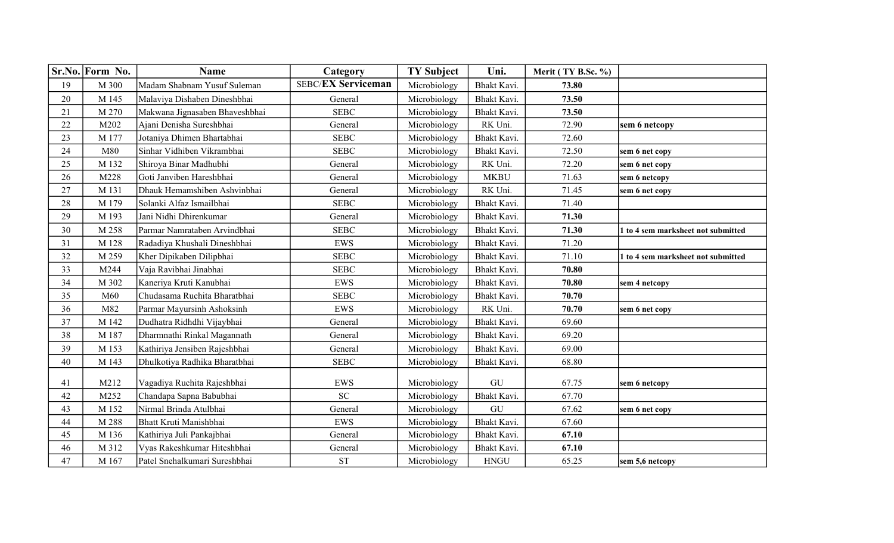|      | Sr.No. Form No. | <b>Name</b>                    | Category                  | <b>TY Subject</b> | Uni.        | Merit (TY B.Sc. %) |                                    |
|------|-----------------|--------------------------------|---------------------------|-------------------|-------------|--------------------|------------------------------------|
| 19   | M 300           | Madam Shabnam Yusuf Suleman    | <b>SEBC/EX Serviceman</b> | Microbiology      | Bhakt Kavi. | 73.80              |                                    |
| 20   | M 145           | Malaviya Dishaben Dineshbhai   | General                   | Microbiology      | Bhakt Kavi. | 73.50              |                                    |
| 21   | M 270           | Makwana Jignasaben Bhaveshbhai | <b>SEBC</b>               | Microbiology      | Bhakt Kavi. | 73.50              |                                    |
| 22   | M202            | Ajani Denisha Sureshbhai       | General                   | Microbiology      | RK Uni.     | 72.90              | sem 6 netcopy                      |
| 23   | M 177           | Jotaniya Dhimen Bhartabhai     | <b>SEBC</b>               | Microbiology      | Bhakt Kavi. | 72.60              |                                    |
| 24   | M80             | Sinhar Vidhiben Vikrambhai     | <b>SEBC</b>               | Microbiology      | Bhakt Kavi. | 72.50              | sem 6 net copy                     |
| 25   | M 132           | Shiroya Binar Madhubhi         | General                   | Microbiology      | RK Uni.     | 72.20              | sem 6 net copy                     |
| 26   | M228            | Goti Janviben Hareshbhai       | General                   | Microbiology      | <b>MKBU</b> | 71.63              | sem 6 netcopy                      |
| 27   | M 131           | Dhauk Hemamshiben Ashvinbhai   | General                   | Microbiology      | RK Uni.     | 71.45              | sem 6 net copy                     |
| 28   | M 179           | Solanki Alfaz Ismailbhai       | <b>SEBC</b>               | Microbiology      | Bhakt Kavi. | 71.40              |                                    |
| 29   | M 193           | Jani Nidhi Dhirenkumar         | General                   | Microbiology      | Bhakt Kavi. | 71.30              |                                    |
| 30   | M 258           | Parmar Namrataben Arvindbhai   | <b>SEBC</b>               | Microbiology      | Bhakt Kavi. | 71.30              | 1 to 4 sem marksheet not submitted |
| 31   | M 128           | Radadiya Khushali Dineshbhai   | EWS                       | Microbiology      | Bhakt Kavi. | 71.20              |                                    |
| 32   | M 259           | Kher Dipikaben Dilipbhai       | <b>SEBC</b>               | Microbiology      | Bhakt Kavi. | 71.10              | 1 to 4 sem marksheet not submitted |
| 33   | M244            | Vaja Ravibhai Jinabhai         | <b>SEBC</b>               | Microbiology      | Bhakt Kavi. | 70.80              |                                    |
| 34   | M 302           | Kaneriya Kruti Kanubhai        | EWS                       | Microbiology      | Bhakt Kavi. | 70.80              | sem 4 netcopy                      |
| 35   | M60             | Chudasama Ruchita Bharatbhai   | <b>SEBC</b>               | Microbiology      | Bhakt Kavi. | 70.70              |                                    |
| 36   | M82             | Parmar Mayursinh Ashoksinh     | EWS                       | Microbiology      | RK Uni.     | 70.70              | sem 6 net copy                     |
| 37   | M 142           | Dudhatra Ridhdhi Vijaybhai     | General                   | Microbiology      | Bhakt Kavi. | 69.60              |                                    |
| 38   | M 187           | Dharmnathi Rinkal Magannath    | General                   | Microbiology      | Bhakt Kavi. | 69.20              |                                    |
| 39   | M 153           | Kathiriya Jensiben Rajeshbhai  | General                   | Microbiology      | Bhakt Kavi. | 69.00              |                                    |
| 40   | M 143           | Dhulkotiya Radhika Bharatbhai  | <b>SEBC</b>               | Microbiology      | Bhakt Kavi. | 68.80              |                                    |
|      |                 |                                |                           |                   |             |                    |                                    |
| 41   | M212            | Vagadiya Ruchita Rajeshbhai    | EWS<br>SC                 | Microbiology      | GU          | 67.75              | sem 6 netcopy                      |
| 42   | M252            | Chandapa Sapna Babubhai        |                           | Microbiology      | Bhakt Kavi. | 67.70              |                                    |
| 43   | M 152           | Nirmal Brinda Atulbhai         | General                   | Microbiology      | GU          | 67.62              | sem 6 net copy                     |
| $44$ | M 288           | Bhatt Kruti Manishbhai         | EWS                       | Microbiology      | Bhakt Kavi. | 67.60              |                                    |
| 45   | M 136           | Kathiriya Juli Pankajbhai      | General                   | Microbiology      | Bhakt Kavi. | 67.10              |                                    |
| 46   | M 312           | Vyas Rakeshkumar Hiteshbhai    | General                   | Microbiology      | Bhakt Kavi. | 67.10              |                                    |
| 47   | M 167           | Patel Snehalkumari Sureshbhai  | <b>ST</b>                 | Microbiology      | <b>HNGU</b> | 65.25              | sem 5,6 netcopy                    |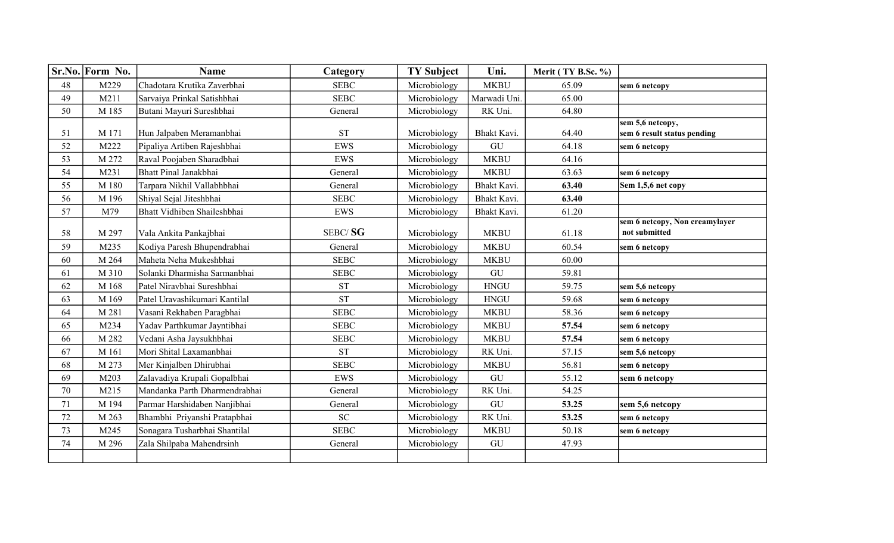|        | Sr.No. Form No. | <b>Name</b>                   | Category     | <b>TY Subject</b> | Uni.         | Merit (TY B.Sc. %) |                                                 |
|--------|-----------------|-------------------------------|--------------|-------------------|--------------|--------------------|-------------------------------------------------|
| $48\,$ | M229            | Chadotara Krutika Zaverbhai   | <b>SEBC</b>  | Microbiology      | <b>MKBU</b>  | 65.09              | sem 6 netcopy                                   |
| 49     | M211            | Sarvaiya Prinkal Satishbhai   | <b>SEBC</b>  | Microbiology      | Marwadi Uni. | 65.00              |                                                 |
| 50     | M 185           | Butani Mayuri Sureshbhai      | General      | Microbiology      | RK Uni.      | 64.80              |                                                 |
|        |                 |                               |              |                   |              |                    | sem 5,6 netcopy,                                |
| 51     | M 171           | Hun Jalpaben Meramanbhai      | <b>ST</b>    | Microbiology      | Bhakt Kavi.  | 64.40              | sem 6 result status pending                     |
| 52     | M222            | Pipaliya Artiben Rajeshbhai   | <b>EWS</b>   | Microbiology      | ${\rm GU}$   | 64.18              | sem 6 netcopy                                   |
| 53     | M 272           | Raval Poojaben Sharadbhai     | EWS          | Microbiology      | <b>MKBU</b>  | 64.16              |                                                 |
| 54     | M231            | Bhatt Pinal Janakbhai         | General      | Microbiology      | <b>MKBU</b>  | 63.63              | sem 6 netcopy                                   |
| 55     | M 180           | Tarpara Nikhil Vallabhbhai    | General      | Microbiology      | Bhakt Kavi.  | 63.40              | Sem 1,5,6 net copy                              |
| 56     | M 196           | Shiyal Sejal Jiteshbhai       | <b>SEBC</b>  | Microbiology      | Bhakt Kavi.  | 63.40              |                                                 |
| 57     | M79             | Bhatt Vidhiben Shaileshbhai   | EWS          | Microbiology      | Bhakt Kavi.  | 61.20              |                                                 |
| 58     | M 297           | Vala Ankita Pankajbhai        | SEBC/SG      | Microbiology      | <b>MKBU</b>  | 61.18              | sem 6 netcopy, Non creamylayer<br>not submitted |
|        |                 |                               |              |                   |              |                    |                                                 |
| 59     | M235            | Kodiya Paresh Bhupendrabhai   | General      | Microbiology      | <b>MKBU</b>  | 60.54              | sem 6 netcopy                                   |
| 60     | M 264           | Maheta Neha Mukeshbhai        | <b>SEBC</b>  | Microbiology      | <b>MKBU</b>  | 60.00              |                                                 |
| 61     | M 310           | Solanki Dharmisha Sarmanbhai  | <b>SEBC</b>  | Microbiology      | ${\rm GU}$   | 59.81              |                                                 |
| 62     | M 168           | Patel Niravbhai Sureshbhai    | <b>ST</b>    | Microbiology      | ${\rm HNGU}$ | 59.75              | sem 5,6 netcopy                                 |
| 63     | M 169           | Patel Uravashikumari Kantilal | <b>ST</b>    | Microbiology      | <b>HNGU</b>  | 59.68              | sem 6 netcopy                                   |
| 64     | M 281           | Vasani Rekhaben Paragbhai     | <b>SEBC</b>  | Microbiology      | <b>MKBU</b>  | 58.36              | sem 6 netcopy                                   |
| 65     | M234            | Yadav Parthkumar Jayntibhai   | <b>SEBC</b>  | Microbiology      | <b>MKBU</b>  | 57.54              | sem 6 netcopy                                   |
| 66     | M 282           | Vedani Asha Jaysukhbhai       | ${\bf SEBC}$ | Microbiology      | <b>MKBU</b>  | 57.54              | sem 6 netcopy                                   |
| 67     | M 161           | Mori Shital Laxamanbhai       | <b>ST</b>    | Microbiology      | RK Uni.      | 57.15              | sem 5,6 netcopy                                 |
| 68     | M 273           | Mer Kinjalben Dhirubhai       | <b>SEBC</b>  | Microbiology      | <b>MKBU</b>  | 56.81              | sem 6 netcopy                                   |
| 69     | M203            | Zalavadiya Krupali Gopalbhai  | EWS          | Microbiology      | ${\rm GU}$   | 55.12              | sem 6 netcopy                                   |
| 70     | M215            | Mandanka Parth Dharmendrabhai | General      | Microbiology      | RK Uni.      | 54.25              |                                                 |
| 71     | M 194           | Parmar Harshidaben Nanjibhai  | General      | Microbiology      | ${\rm GU}$   | 53.25              | sem 5,6 netcopy                                 |
| 72     | M 263           | Bhambhi Priyanshi Pratapbhai  | ${\rm SC}$   | Microbiology      | RK Uni.      | 53.25              | sem 6 netcopy                                   |
| 73     | M245            | Sonagara Tusharbhai Shantilal | <b>SEBC</b>  | Microbiology      | <b>MKBU</b>  | 50.18              | sem 6 netcopy                                   |
| 74     | M 296           | Zala Shilpaba Mahendrsinh     | General      | Microbiology      | ${\rm GU}$   | 47.93              |                                                 |
|        |                 |                               |              |                   |              |                    |                                                 |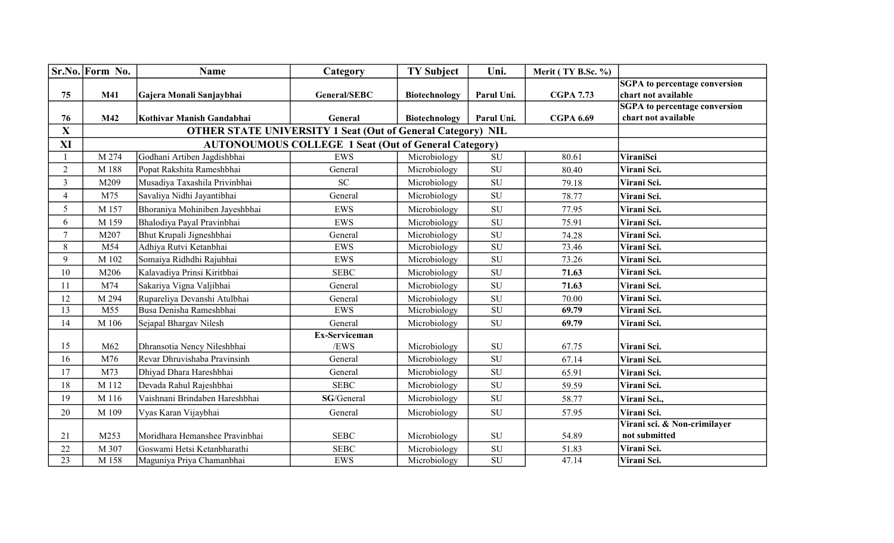|                 | Sr.No. Form No. | <b>Name</b>                    | Category                                                           | <b>TY Subject</b> | Uni.                     | Merit (TY B.Sc. %) |                                      |
|-----------------|-----------------|--------------------------------|--------------------------------------------------------------------|-------------------|--------------------------|--------------------|--------------------------------------|
|                 |                 |                                |                                                                    |                   |                          |                    | <b>SGPA</b> to percentage conversion |
| 75              | <b>M41</b>      | Gajera Monali Sanjaybhai       | General/SEBC                                                       | Biotechnology     | Parul Uni.               | <b>CGPA 7.73</b>   | chart not available                  |
|                 |                 |                                |                                                                    |                   |                          |                    | <b>SGPA</b> to percentage conversion |
| 76              | M42             | Kothivar Manish Gandabhai      | General                                                            | Biotechnology     | Parul Uni.               | <b>CGPA 6.69</b>   | chart not available                  |
| $\mathbf{X}$    |                 |                                | <b>OTHER STATE UNIVERSITY 1 Seat (Out of General Category) NIL</b> |                   |                          |                    |                                      |
| XI              |                 |                                | <b>AUTONOUMOUS COLLEGE 1 Seat (Out of General Category)</b>        |                   |                          |                    |                                      |
|                 | M 274           | Godhani Artiben Jagdishbhai    | EWS                                                                | Microbiology      | SU                       | 80.61              | ViraniSci                            |
| $\overline{2}$  | M 188           | Popat Rakshita Rameshbhai      | General                                                            | Microbiology      | SU                       | 80.40              | Virani Sci.                          |
| 3               | M209            | Musadiya Taxashila Privinbhai  | <b>SC</b>                                                          | Microbiology      | ${\bf SU}$               | 79.18              | Virani Sci.                          |
| $\overline{4}$  | M75             | Savaliya Nidhi Jayantibhai     | General                                                            | Microbiology      | SU                       | 78.77              | Virani Sci.                          |
| 5               | M 157           | Bhoraniya Mohiniben Jayeshbhai | EWS                                                                | Microbiology      | ${\rm SU}$               | 77.95              | Virani Sci.                          |
| 6               | M 159           | Bhalodiya Payal Pravinbhai     | <b>EWS</b>                                                         | Microbiology      | ${\rm SU}$               | 75.91              | Virani Sci.                          |
| $\overline{7}$  | M207            | Bhut Krupali Jigneshbhai       | General                                                            | Microbiology      | SU                       | 74.28              | Virani Sci.                          |
| 8               | M54             | Adhiya Rutvi Ketanbhai         | <b>EWS</b>                                                         | Microbiology      | ${\rm SU}$               | 73.46              | Virani Sci.                          |
| 9               | M 102           | Somaiya Ridhdhi Rajubhai       | <b>EWS</b>                                                         | Microbiology      | SU                       | 73.26              | Virani Sci.                          |
| 10              | M206            | Kalavadiya Prinsi Kiritbhai    | <b>SEBC</b>                                                        | Microbiology      | SU                       | 71.63              | Virani Sci.                          |
| 11              | M74             | Sakariya Vigna Valjibhai       | General                                                            | Microbiology      | ${\bf SU}$               | 71.63              | Virani Sci.                          |
| 12              | M 294           | Rupareliya Devanshi Atulbhai   | General                                                            | Microbiology      | SU                       | 70.00              | Virani Sci.                          |
| $\overline{13}$ | M55             | Busa Denisha Rameshbhai        | EWS                                                                | Microbiology      | $\overline{\mathrm{SU}}$ | 69.79              | Virani Sci.                          |
| 14              | M 106           | Sejapal Bhargav Nilesh         | General                                                            | Microbiology      | SU                       | 69.79              | Virani Sci.                          |
|                 |                 |                                | Ex-Serviceman                                                      |                   |                          |                    |                                      |
| 15              | M62             | Dhransotia Nency Nileshbhai    | /EWS                                                               | Microbiology      | ${\rm SU}$               | 67.75              | Virani Sci.                          |
| 16              | M76             | Revar Dhruvishaba Pravinsinh   | General                                                            | Microbiology      | SU                       | 67.14              | Virani Sci.                          |
| 17              | M73             | Dhiyad Dhara Hareshbhai        | General                                                            | Microbiology      | ${\rm SU}$               | 65.91              | Virani Sci.                          |
| 18              | M 112           | Devada Rahul Rajeshbhai        | <b>SEBC</b>                                                        | Microbiology      | SU                       | 59.59              | Virani Sci.                          |
| 19              | M 116           | Vaishnani Brindaben Hareshbhai | SG/General                                                         | Microbiology      | ${\rm SU}$               | 58.77              | Virani Sci.,                         |
| 20              | M 109           | Vyas Karan Vijaybhai           | General                                                            | Microbiology      | <b>SU</b>                | 57.95              | Virani Sci.                          |
|                 |                 |                                |                                                                    |                   |                          |                    | Virani sci. & Non-crimilayer         |
| 21              | M253            | Moridhara Hemanshee Pravinbhai | <b>SEBC</b>                                                        | Microbiology      | SU                       | 54.89              | not submitted                        |
| 22              | M 307           | Goswami Hetsi Ketanbharathi    | <b>SEBC</b>                                                        | Microbiology      | ${\rm SU}$               | 51.83              | Virani Sci.                          |
| $\overline{23}$ | M 158           | Maguniya Priya Chamanbhai      | EWS                                                                | Microbiology      | ${\rm SU}$               | 47.14              | Virani Sci.                          |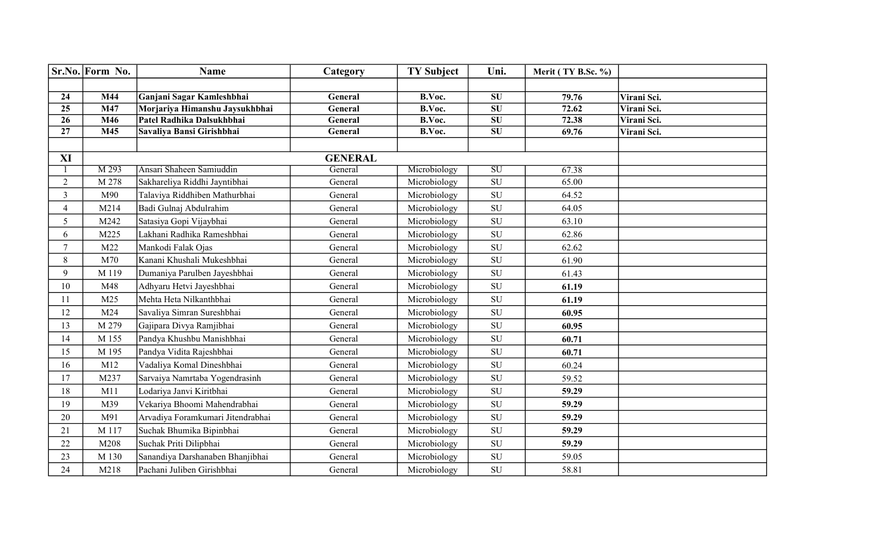|                 | Sr.No. Form No.  | <b>Name</b>                       | Category       | <b>TY Subject</b> | Uni.                | Merit (TY B.Sc. %) |             |
|-----------------|------------------|-----------------------------------|----------------|-------------------|---------------------|--------------------|-------------|
|                 |                  |                                   |                |                   |                     |                    |             |
| 24              | M44              | Ganjani Sagar Kamleshbhai         | General        | B.Voc.            | SU                  | 79.76              | Virani Sci. |
| $\overline{25}$ | M47              | Morjariya Himanshu Jaysukhbhai    | General        | B.Voc.            | $\overline{\bf SU}$ | 72.62              | Virani Sci. |
| $\overline{26}$ | M46              | Patel Radhika Dalsukhbhai         | General        | B.Voc.            | $\overline{\bf SU}$ | 72.38              | Virani Sci. |
| $\overline{27}$ | $\overline{M45}$ | Savaliya Bansi Girishbhai         | General        | B.Voc.            | $\overline{\bf SU}$ | 69.76              | Virani Sci. |
|                 |                  |                                   |                |                   |                     |                    |             |
| XI              |                  |                                   | <b>GENERAL</b> |                   |                     |                    |             |
|                 | M 293            | Ansari Shaheen Samiuddin          | General        | Microbiology      | SU                  | 67.38              |             |
| $\overline{2}$  | M 278            | Sakhareliya Riddhi Jayntibhai     | General        | Microbiology      | SU                  | 65.00              |             |
| $\mathfrak{Z}$  | M90              | Talaviya Riddhiben Mathurbhai     | General        | Microbiology      | ${\rm SU}$          | 64.52              |             |
| $\overline{4}$  | M214             | Badi Gulnaj Abdulrahim            | General        | Microbiology      | ${\rm SU}$          | 64.05              |             |
| 5               | M242             | Satasiya Gopi Vijaybhai           | General        | Microbiology      | SU                  | 63.10              |             |
| 6               | M225             | Lakhani Radhika Rameshbhai        | General        | Microbiology      | ${\rm SU}$          | 62.86              |             |
| $\tau$          | M22              | Mankodi Falak Ojas                | General        | Microbiology      | SU                  | 62.62              |             |
| 8               | M70              | Kanani Khushali Mukeshbhai        | General        | Microbiology      | ${\rm SU}$          | 61.90              |             |
| 9               | M 119            | Dumaniya Parulben Jayeshbhai      | General        | Microbiology      | SU                  | 61.43              |             |
| 10              | M48              | Adhyaru Hetvi Jayeshbhai          | General        | Microbiology      | ${\rm SU}$          | 61.19              |             |
| 11              | M25              | Mehta Heta Nilkanthbhai           | General        | Microbiology      | SU                  | 61.19              |             |
| 12              | M24              | Savaliya Simran Sureshbhai        | General        | Microbiology      | ${\rm SU}$          | 60.95              |             |
| 13              | M 279            | Gajipara Divya Ramjibhai          | General        | Microbiology      | SU                  | 60.95              |             |
| 14              | M 155            | Pandya Khushbu Manishbhai         | General        | Microbiology      | ${\rm SU}$          | 60.71              |             |
| 15              | M 195            | Pandya Vidita Rajeshbhai          | General        | Microbiology      | SU                  | 60.71              |             |
| 16              | M12              | Vadaliya Komal Dineshbhai         | General        | Microbiology      | SU                  | 60.24              |             |
| 17              | M237             | Sarvaiya Namrtaba Yogendrasinh    | General        | Microbiology      | ${\rm SU}$          | 59.52              |             |
| 18              | M11              | Lodariya Janvi Kiritbhai          | General        | Microbiology      | ${\rm SU}$          | 59.29              |             |
| 19              | M39              | Vekariya Bhoomi Mahendrabhai      | General        | Microbiology      | ${\rm SU}$          | 59.29              |             |
| 20              | M91              | Arvadiya Foramkumari Jitendrabhai | General        | Microbiology      | SU                  | 59.29              |             |
| 21              | M 117            | Suchak Bhumika Bipinbhai          | General        | Microbiology      | SU                  | 59.29              |             |
| 22              | M208             | Suchak Priti Dilipbhai            | General        | Microbiology      | SU                  | 59.29              |             |
| 23              | M 130            | Sanandiya Darshanaben Bhanjibhai  | General        | Microbiology      | ${\rm SU}$          | 59.05              |             |
| 24              | M218             | Pachani Juliben Girishbhai        | General        | Microbiology      | ${\rm SU}$          | 58.81              |             |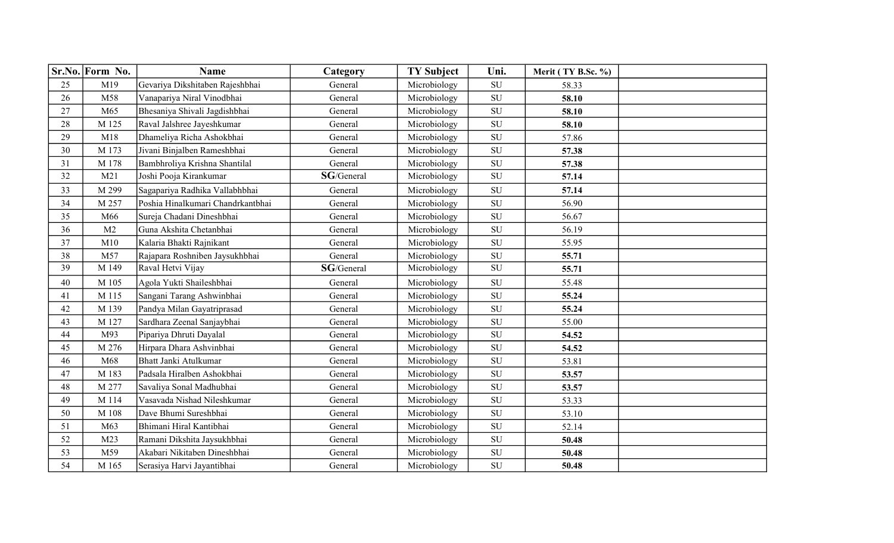|    | Sr.No. Form No. | <b>Name</b>                       | Category   | <b>TY Subject</b> | Uni.       | Merit (TY B.Sc. %) |  |
|----|-----------------|-----------------------------------|------------|-------------------|------------|--------------------|--|
| 25 | M19             | Gevariya Dikshitaben Rajeshbhai   | General    | Microbiology      | SU         | 58.33              |  |
| 26 | M58             | Vanapariya Niral Vinodbhai        | General    | Microbiology      | ${\bf SU}$ | 58.10              |  |
| 27 | M65             | Bhesaniya Shivali Jagdishbhai     | General    | Microbiology      | <b>SU</b>  | 58.10              |  |
| 28 | M 125           | Raval Jalshree Jayeshkumar        | General    | Microbiology      | ${\rm SU}$ | 58.10              |  |
| 29 | M18             | Dhameliya Richa Ashokbhai         | General    | Microbiology      | ${\bf SU}$ | 57.86              |  |
| 30 | M 173           | Jivani Binjalben Rameshbhai       | General    | Microbiology      | SU         | 57.38              |  |
| 31 | M 178           | Bambhroliya Krishna Shantilal     | General    | Microbiology      | SU         | 57.38              |  |
| 32 | M21             | Joshi Pooja Kirankumar            | SG/General | Microbiology      | <b>SU</b>  | 57.14              |  |
| 33 | M 299           | Sagapariya Radhika Vallabhbhai    | General    | Microbiology      | ${\rm SU}$ | 57.14              |  |
| 34 | M 257           | Poshia Hinalkumari Chandrkantbhai | General    | Microbiology      | ${\rm SU}$ | 56.90              |  |
| 35 | M66             | Sureja Chadani Dineshbhai         | General    | Microbiology      | SU         | 56.67              |  |
| 36 | M <sub>2</sub>  | Guna Akshita Chetanbhai           | General    | Microbiology      | ${\rm SU}$ | 56.19              |  |
| 37 | M10             | Kalaria Bhakti Rajnikant          | General    | Microbiology      | <b>SU</b>  | 55.95              |  |
| 38 | M57             | Rajapara Roshniben Jaysukhbhai    | General    | Microbiology      | ${\rm SU}$ | 55.71              |  |
| 39 | M 149           | Raval Hetvi Vijay                 | SG/General | Microbiology      | SU         | 55.71              |  |
| 40 | M 105           | Agola Yukti Shaileshbhai          | General    | Microbiology      | ${\bf SU}$ | 55.48              |  |
| 41 | M 115           | Sangani Tarang Ashwinbhai         | General    | Microbiology      | ${\bf SU}$ | 55.24              |  |
| 42 | M 139           | Pandya Milan Gayatriprasad        | General    | Microbiology      | SU         | 55.24              |  |
| 43 | M 127           | Sardhara Zeenal Sanjaybhai        | General    | Microbiology      | ${\bf SU}$ | 55.00              |  |
| 44 | M93             | Pipariya Dhruti Dayalal           | General    | Microbiology      | SU         | 54.52              |  |
| 45 | M 276           | Hirpara Dhara Ashvinbhai          | General    | Microbiology      | SU         | 54.52              |  |
| 46 | M68             | Bhatt Janki Atulkumar             | General    | Microbiology      | SU         | 53.81              |  |
| 47 | M 183           | Padsala Hiralben Ashokbhai        | General    | Microbiology      | SU         | 53.57              |  |
| 48 | M 277           | Savaliya Sonal Madhubhai          | General    | Microbiology      | SU         | 53.57              |  |
| 49 | M 114           | Vasavada Nishad Nileshkumar       | General    | Microbiology      | <b>SU</b>  | 53.33              |  |
| 50 | M 108           | Dave Bhumi Sureshbhai             | General    | Microbiology      | SU         | 53.10              |  |
| 51 | M63             | Bhimani Hiral Kantibhai           | General    | Microbiology      | ${\bf SU}$ | 52.14              |  |
| 52 | M <sub>23</sub> | Ramani Dikshita Jaysukhbhai       | General    | Microbiology      | SU         | 50.48              |  |
| 53 | M59             | Akabari Nikitaben Dineshbhai      | General    | Microbiology      | ${\rm SU}$ | 50.48              |  |
| 54 | M 165           | Serasiya Harvi Jayantibhai        | General    | Microbiology      | SU         | 50.48              |  |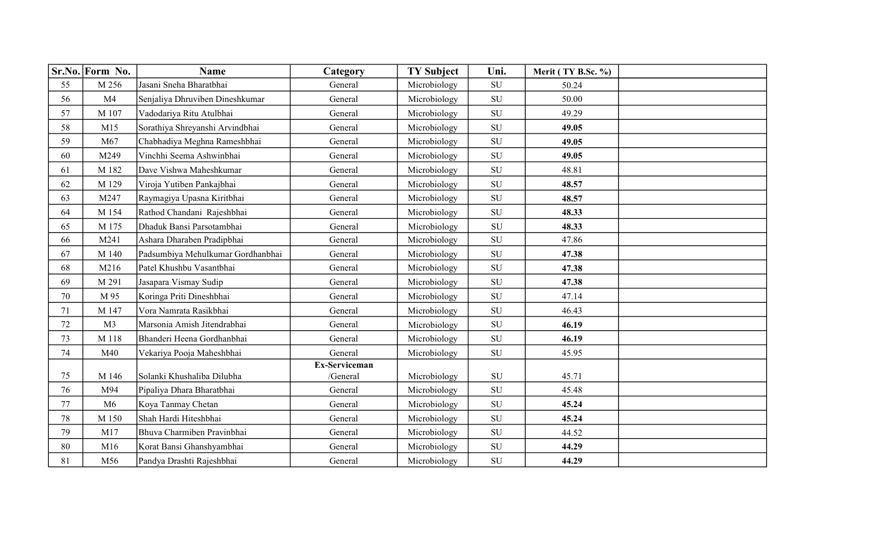|        | Sr.No. Form No. | <b>Name</b>                       | Category      | <b>TY Subject</b> | Uni.       | Merit (TY B.Sc. %) |  |
|--------|-----------------|-----------------------------------|---------------|-------------------|------------|--------------------|--|
| 55     | M 256           | Jasani Sneha Bharatbhai           | General       | Microbiology      | SU         | 50.24              |  |
| 56     | M <sub>4</sub>  | Senjaliya Dhruviben Dineshkumar   | General       | Microbiology      | ${\rm SU}$ | 50.00              |  |
| 57     | M 107           | Vadodariya Ritu Atulbhai          | General       | Microbiology      | SU         | 49.29              |  |
| 58     | M15             | Sorathiya Shreyanshi Arvindbhai   | General       | Microbiology      | SU         | 49.05              |  |
| 59     | M67             | Chabhadiya Meghna Rameshbhai      | General       | Microbiology      | ${\rm SU}$ | 49.05              |  |
| 60     | M249            | Vinchhi Seema Ashwinbhai          | General       | Microbiology      | SU         | 49.05              |  |
| 61     | M 182           | Dave Vishwa Maheshkumar           | General       | Microbiology      | SU         | 48.81              |  |
| 62     | M 129           | Viroja Yutiben Pankajbhai         | General       | Microbiology      | ${\bf SU}$ | 48.57              |  |
| 63     | M247            | Raymagiya Upasna Kiritbhai        | General       | Microbiology      | SU         | 48.57              |  |
| 64     | M 154           | Rathod Chandani Rajeshbhai        | General       | Microbiology      | ${\rm SU}$ | 48.33              |  |
| 65     | M 175           | Dhaduk Bansi Parsotambhai         | General       | Microbiology      | ${\rm SU}$ | 48.33              |  |
| 66     | M241            | Ashara Dharaben Pradipbhai        | General       | Microbiology      | SU         | 47.86              |  |
| 67     | M 140           | Padsumbiya Mehulkumar Gordhanbhai | General       | Microbiology      | SU         | 47.38              |  |
| 68     | M216            | Patel Khushbu Vasantbhai          | General       | Microbiology      | <b>SU</b>  | 47.38              |  |
| 69     | M 291           | Jasapara Vismay Sudip             | General       | Microbiology      | SU         | 47.38              |  |
| $70\,$ | M 95            | Koringa Priti Dineshbhai          | General       | Microbiology      | ${\rm SU}$ | 47.14              |  |
| 71     | M 147           | Vora Namrata Rasikbhai            | General       | Microbiology      | <b>SU</b>  | 46.43              |  |
| $72\,$ | M <sub>3</sub>  | Marsonia Amish Jitendrabhai       | General       | Microbiology      | ${\rm SU}$ | 46.19              |  |
| 73     | M 118           | Bhanderi Heena Gordhanbhai        | General       | Microbiology      | SU         | 46.19              |  |
| 74     | M40             | Vekariya Pooja Maheshbhai         | General       | Microbiology      | ${\rm SU}$ | 45.95              |  |
|        |                 |                                   | Ex-Serviceman |                   |            |                    |  |
| 75     | M 146           | Solanki Khushaliba Dilubha        | /General      | Microbiology      | ${\rm SU}$ | 45.71              |  |
| 76     | M94             | Pipaliya Dhara Bharatbhai         | General       | Microbiology      | ${\rm SU}$ | 45.48              |  |
| $77\,$ | M6              | Koya Tanmay Chetan                | General       | Microbiology      | <b>SU</b>  | 45.24              |  |
| $78\,$ | M 150           | Shah Hardi Hiteshbhai             | General       | Microbiology      | SU         | 45.24              |  |
| 79     | M17             | Bhuva Charmiben Pravinbhai        | General       | Microbiology      | ${\rm SU}$ | 44.52              |  |
| 80     | M16             | Korat Bansi Ghanshyambhai         | General       | Microbiology      | ${\rm SU}$ | 44.29              |  |
| 81     | M56             | Pandya Drashti Rajeshbhai         | General       | Microbiology      | SU         | 44.29              |  |